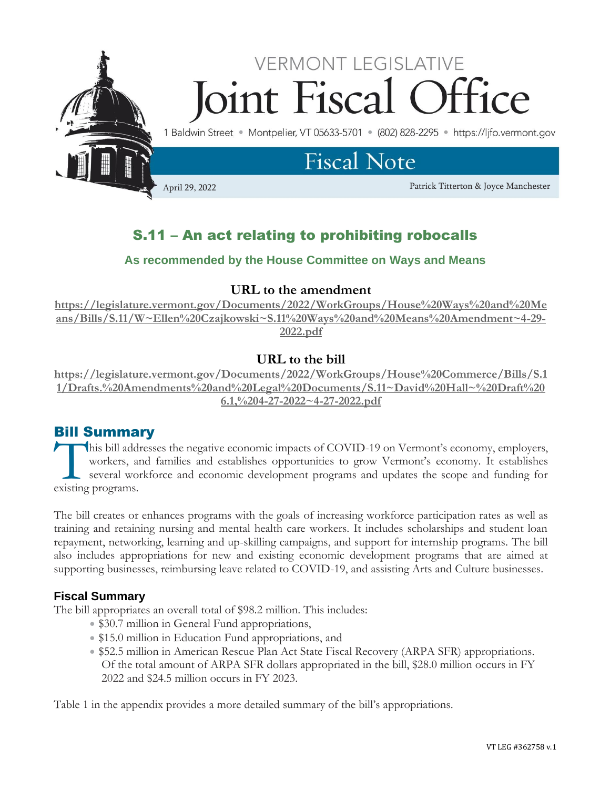

# S.11 – An act relating to prohibiting robocalls

## **As recommended by the House Committee on Ways and Means**

### **URL to the amendment**

**[https://legislature.vermont.gov/Documents/2022/WorkGroups/House%20Ways%20and%20Me](https://legislature.vermont.gov/Documents/2022/WorkGroups/House%20Ways%20and%20Means/Bills/S.11/W~Ellen%20Czajkowski~S.11%20Ways%20and%20Means%20Amendment~4-29-2022.pdf) [ans/Bills/S.11/W~Ellen%20Czajkowski~S.11%20Ways%20and%20Means%20Amendment~4-29-](https://legislature.vermont.gov/Documents/2022/WorkGroups/House%20Ways%20and%20Means/Bills/S.11/W~Ellen%20Czajkowski~S.11%20Ways%20and%20Means%20Amendment~4-29-2022.pdf) [2022.pdf](https://legislature.vermont.gov/Documents/2022/WorkGroups/House%20Ways%20and%20Means/Bills/S.11/W~Ellen%20Czajkowski~S.11%20Ways%20and%20Means%20Amendment~4-29-2022.pdf)**

## **URL to the bill**

**[https://legislature.vermont.gov/Documents/2022/WorkGroups/House%20Commerce/Bills/S.1](https://legislature.vermont.gov/Documents/2022/WorkGroups/House%20Commerce/Bills/S.11/Drafts.%20Amendments%20and%20Legal%20Documents/S.11~David%20Hall~%20Draft%206.1,%204-27-2022~4-27-2022.pdf) [1/Drafts.%20Amendments%20and%20Legal%20Documents/S.11~David%20Hall~%20Draft%20](https://legislature.vermont.gov/Documents/2022/WorkGroups/House%20Commerce/Bills/S.11/Drafts.%20Amendments%20and%20Legal%20Documents/S.11~David%20Hall~%20Draft%206.1,%204-27-2022~4-27-2022.pdf) [6.1,%204-27-2022~4-27-2022.pdf](https://legislature.vermont.gov/Documents/2022/WorkGroups/House%20Commerce/Bills/S.11/Drafts.%20Amendments%20and%20Legal%20Documents/S.11~David%20Hall~%20Draft%206.1,%204-27-2022~4-27-2022.pdf)**

## Bill Summary

his bill addresses the negative economic impacts of COVID-19 on Vermont's economy, employers, workers, and families and establishes opportunities to grow Vermont's economy. It establishes several workforce and economic development programs and updates the scope and funding for This bill addi<br>workers, are<br>several workers.

The bill creates or enhances programs with the goals of increasing workforce participation rates as well as training and retaining nursing and mental health care workers. It includes scholarships and student loan repayment, networking, learning and up-skilling campaigns, and support for internship programs. The bill also includes appropriations for new and existing economic development programs that are aimed at supporting businesses, reimbursing leave related to COVID-19, and assisting Arts and Culture businesses.

### **Fiscal Summary**

The bill appropriates an overall total of \$98.2 million. This includes:

- \$30.7 million in General Fund appropriations,
- \$15.0 million in Education Fund appropriations, and
- \$52.5 million in American Rescue Plan Act State Fiscal Recovery (ARPA SFR) appropriations. Of the total amount of ARPA SFR dollars appropriated in the bill, \$28.0 million occurs in FY 2022 and \$24.5 million occurs in FY 2023.

Table 1 in the appendix provides a more detailed summary of the bill's appropriations.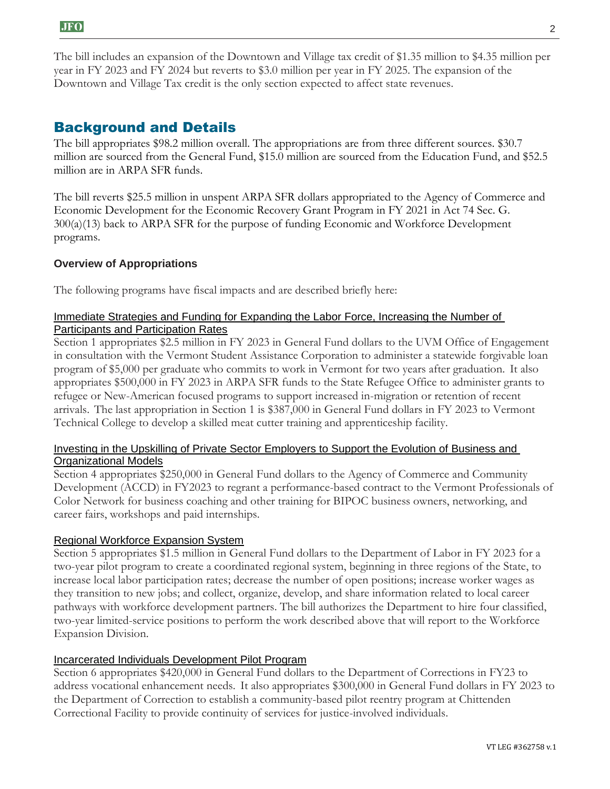The bill includes an expansion of the Downtown and Village tax credit of \$1.35 million to \$4.35 million per year in FY 2023 and FY 2024 but reverts to \$3.0 million per year in FY 2025. The expansion of the Downtown and Village Tax credit is the only section expected to affect state revenues.

## Background and Details

The bill appropriates \$98.2 million overall. The appropriations are from three different sources. \$30.7 million are sourced from the General Fund, \$15.0 million are sourced from the Education Fund, and \$52.5 million are in ARPA SFR funds.

The bill reverts \$25.5 million in unspent ARPA SFR dollars appropriated to the Agency of Commerce and Economic Development for the Economic Recovery Grant Program in FY 2021 in Act 74 Sec. G. 300(a)(13) back to ARPA SFR for the purpose of funding Economic and Workforce Development programs.

#### **Overview of Appropriations**

The following programs have fiscal impacts and are described briefly here:

#### Immediate Strategies and Funding for Expanding the Labor Force, Increasing the Number of Participants and Participation Rates

Section 1 appropriates \$2.5 million in FY 2023 in General Fund dollars to the UVM Office of Engagement in consultation with the Vermont Student Assistance Corporation to administer a statewide forgivable loan program of \$5,000 per graduate who commits to work in Vermont for two years after graduation. It also appropriates \$500,000 in FY 2023 in ARPA SFR funds to the State Refugee Office to administer grants to refugee or New-American focused programs to support increased in-migration or retention of recent arrivals. The last appropriation in Section 1 is \$387,000 in General Fund dollars in FY 2023 to Vermont Technical College to develop a skilled meat cutter training and apprenticeship facility.

#### Investing in the Upskilling of Private Sector Employers to Support the Evolution of Business and Organizational Models

Section 4 appropriates \$250,000 in General Fund dollars to the Agency of Commerce and Community Development (ACCD) in FY2023 to regrant a performance-based contract to the Vermont Professionals of Color Network for business coaching and other training for BIPOC business owners, networking, and career fairs, workshops and paid internships.

#### Regional Workforce Expansion System

Section 5 appropriates \$1.5 million in General Fund dollars to the Department of Labor in FY 2023 for a two-year pilot program to create a coordinated regional system, beginning in three regions of the State, to increase local labor participation rates; decrease the number of open positions; increase worker wages as they transition to new jobs; and collect, organize, develop, and share information related to local career pathways with workforce development partners. The bill authorizes the Department to hire four classified, two-year limited-service positions to perform the work described above that will report to the Workforce Expansion Division.

#### Incarcerated Individuals Development Pilot Program

Section 6 appropriates \$420,000 in General Fund dollars to the Department of Corrections in FY23 to address vocational enhancement needs. It also appropriates \$300,000 in General Fund dollars in FY 2023 to the Department of Correction to establish a community-based pilot reentry program at Chittenden Correctional Facility to provide continuity of services for justice-involved individuals.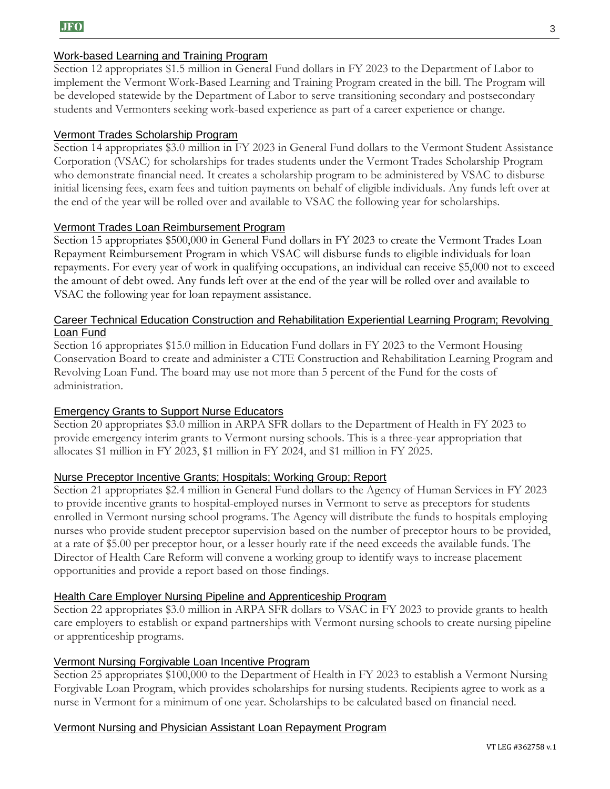#### Work-based Learning and Training Program

Section 12 appropriates \$1.5 million in General Fund dollars in FY 2023 to the Department of Labor to implement the Vermont Work-Based Learning and Training Program created in the bill. The Program will be developed statewide by the Department of Labor to serve transitioning secondary and postsecondary students and Vermonters seeking work-based experience as part of a career experience or change.

#### Vermont Trades Scholarship Program

Section 14 appropriates \$3.0 million in FY 2023 in General Fund dollars to the Vermont Student Assistance Corporation (VSAC) for scholarships for trades students under the Vermont Trades Scholarship Program who demonstrate financial need. It creates a scholarship program to be administered by VSAC to disburse initial licensing fees, exam fees and tuition payments on behalf of eligible individuals. Any funds left over at the end of the year will be rolled over and available to VSAC the following year for scholarships.

#### Vermont Trades Loan Reimbursement Program

Section 15 appropriates \$500,000 in General Fund dollars in FY 2023 to create the Vermont Trades Loan Repayment Reimbursement Program in which VSAC will disburse funds to eligible individuals for loan repayments. For every year of work in qualifying occupations, an individual can receive \$5,000 not to exceed the amount of debt owed. Any funds left over at the end of the year will be rolled over and available to VSAC the following year for loan repayment assistance.

#### Career Technical Education Construction and Rehabilitation Experiential Learning Program; Revolving Loan Fund

Section 16 appropriates \$15.0 million in Education Fund dollars in FY 2023 to the Vermont Housing Conservation Board to create and administer a CTE Construction and Rehabilitation Learning Program and Revolving Loan Fund. The board may use not more than 5 percent of the Fund for the costs of administration.

#### Emergency Grants to Support Nurse Educators

Section 20 appropriates \$3.0 million in ARPA SFR dollars to the Department of Health in FY 2023 to provide emergency interim grants to Vermont nursing schools. This is a three-year appropriation that allocates \$1 million in FY 2023, \$1 million in FY 2024, and \$1 million in FY 2025.

#### Nurse Preceptor Incentive Grants; Hospitals; Working Group; Report

Section 21 appropriates \$2.4 million in General Fund dollars to the Agency of Human Services in FY 2023 to provide incentive grants to hospital-employed nurses in Vermont to serve as preceptors for students enrolled in Vermont nursing school programs. The Agency will distribute the funds to hospitals employing nurses who provide student preceptor supervision based on the number of preceptor hours to be provided, at a rate of \$5.00 per preceptor hour, or a lesser hourly rate if the need exceeds the available funds. The Director of Health Care Reform will convene a working group to identify ways to increase placement opportunities and provide a report based on those findings.

#### Health Care Employer Nursing Pipeline and Apprenticeship Program

Section 22 appropriates \$3.0 million in ARPA SFR dollars to VSAC in FY 2023 to provide grants to health care employers to establish or expand partnerships with Vermont nursing schools to create nursing pipeline or apprenticeship programs.

#### Vermont Nursing Forgivable Loan Incentive Program

Section 25 appropriates \$100,000 to the Department of Health in FY 2023 to establish a Vermont Nursing Forgivable Loan Program, which provides scholarships for nursing students. Recipients agree to work as a nurse in Vermont for a minimum of one year. Scholarships to be calculated based on financial need.

#### Vermont Nursing and Physician Assistant Loan Repayment Program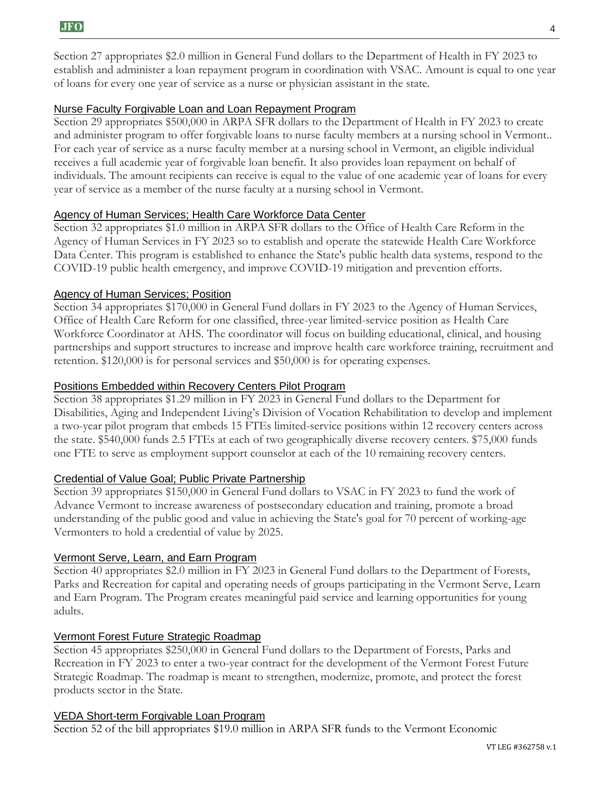Section 27 appropriates \$2.0 million in General Fund dollars to the Department of Health in FY 2023 to establish and administer a loan repayment program in coordination with VSAC. Amount is equal to one year of loans for every one year of service as a nurse or physician assistant in the state.

#### Nurse Faculty Forgivable Loan and Loan Repayment Program

Section 29 appropriates \$500,000 in ARPA SFR dollars to the Department of Health in FY 2023 to create and administer program to offer forgivable loans to nurse faculty members at a nursing school in Vermont.. For each year of service as a nurse faculty member at a nursing school in Vermont, an eligible individual receives a full academic year of forgivable loan benefit. It also provides loan repayment on behalf of individuals. The amount recipients can receive is equal to the value of one academic year of loans for every year of service as a member of the nurse faculty at a nursing school in Vermont.

#### Agency of Human Services; Health Care Workforce Data Center

Section 32 appropriates \$1.0 million in ARPA SFR dollars to the Office of Health Care Reform in the Agency of Human Services in FY 2023 so to establish and operate the statewide Health Care Workforce Data Center. This program is established to enhance the State's public health data systems, respond to the COVID-19 public health emergency, and improve COVID-19 mitigation and prevention efforts.

#### Agency of Human Services; Position

Section 34 appropriates \$170,000 in General Fund dollars in FY 2023 to the Agency of Human Services, Office of Health Care Reform for one classified, three-year limited-service position as Health Care Workforce Coordinator at AHS. The coordinator will focus on building educational, clinical, and housing partnerships and support structures to increase and improve health care workforce training, recruitment and retention. \$120,000 is for personal services and \$50,000 is for operating expenses.

#### Positions Embedded within Recovery Centers Pilot Program

Section 38 appropriates \$1.29 million in FY 2023 in General Fund dollars to the Department for Disabilities, Aging and Independent Living's Division of Vocation Rehabilitation to develop and implement a two-year pilot program that embeds 15 FTEs limited-service positions within 12 recovery centers across the state. \$540,000 funds 2.5 FTEs at each of two geographically diverse recovery centers. \$75,000 funds one FTE to serve as employment support counselor at each of the 10 remaining recovery centers.

#### Credential of Value Goal; Public Private Partnership

Section 39 appropriates \$150,000 in General Fund dollars to VSAC in FY 2023 to fund the work of Advance Vermont to increase awareness of postsecondary education and training, promote a broad understanding of the public good and value in achieving the State's goal for 70 percent of working-age Vermonters to hold a credential of value by 2025.

#### Vermont Serve, Learn, and Earn Program

Section 40 appropriates \$2.0 million in FY 2023 in General Fund dollars to the Department of Forests, Parks and Recreation for capital and operating needs of groups participating in the Vermont Serve, Learn and Earn Program. The Program creates meaningful paid service and learning opportunities for young adults.

#### Vermont Forest Future Strategic Roadmap

Section 45 appropriates \$250,000 in General Fund dollars to the Department of Forests, Parks and Recreation in FY 2023 to enter a two-year contract for the development of the Vermont Forest Future Strategic Roadmap. The roadmap is meant to strengthen, modernize, promote, and protect the forest products sector in the State.

#### VEDA Short-term Forgivable Loan Program

Section 52 of the bill appropriates \$19.0 million in ARPA SFR funds to the Vermont Economic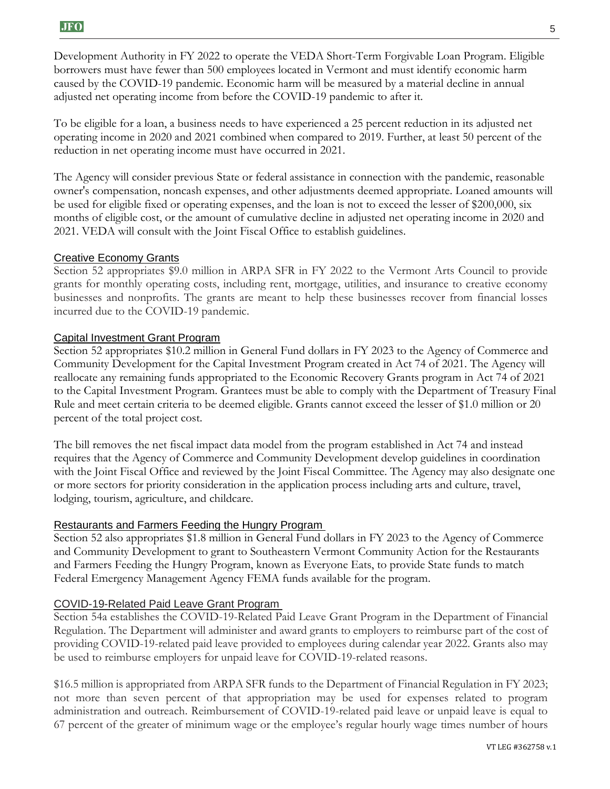Development Authority in FY 2022 to operate the VEDA Short-Term Forgivable Loan Program. Eligible borrowers must have fewer than 500 employees located in Vermont and must identify economic harm caused by the COVID-19 pandemic. Economic harm will be measured by a material decline in annual adjusted net operating income from before the COVID-19 pandemic to after it.

To be eligible for a loan, a business needs to have experienced a 25 percent reduction in its adjusted net operating income in 2020 and 2021 combined when compared to 2019. Further, at least 50 percent of the reduction in net operating income must have occurred in 2021.

The Agency will consider previous State or federal assistance in connection with the pandemic, reasonable owner's compensation, noncash expenses, and other adjustments deemed appropriate. Loaned amounts will be used for eligible fixed or operating expenses, and the loan is not to exceed the lesser of \$200,000, six months of eligible cost, or the amount of cumulative decline in adjusted net operating income in 2020 and 2021. VEDA will consult with the Joint Fiscal Office to establish guidelines.

#### Creative Economy Grants

Section 52 appropriates \$9.0 million in ARPA SFR in FY 2022 to the Vermont Arts Council to provide grants for monthly operating costs, including rent, mortgage, utilities, and insurance to creative economy businesses and nonprofits. The grants are meant to help these businesses recover from financial losses incurred due to the COVID-19 pandemic.

#### Capital Investment Grant Program

Section 52 appropriates \$10.2 million in General Fund dollars in FY 2023 to the Agency of Commerce and Community Development for the Capital Investment Program created in Act 74 of 2021. The Agency will reallocate any remaining funds appropriated to the Economic Recovery Grants program in Act 74 of 2021 to the Capital Investment Program. Grantees must be able to comply with the Department of Treasury Final Rule and meet certain criteria to be deemed eligible. Grants cannot exceed the lesser of \$1.0 million or 20 percent of the total project cost.

The bill removes the net fiscal impact data model from the program established in Act 74 and instead requires that the Agency of Commerce and Community Development develop guidelines in coordination with the Joint Fiscal Office and reviewed by the Joint Fiscal Committee. The Agency may also designate one or more sectors for priority consideration in the application process including arts and culture, travel, lodging, tourism, agriculture, and childcare.

#### Restaurants and Farmers Feeding the Hungry Program

Section 52 also appropriates \$1.8 million in General Fund dollars in FY 2023 to the Agency of Commerce and Community Development to grant to Southeastern Vermont Community Action for the Restaurants and Farmers Feeding the Hungry Program, known as Everyone Eats, to provide State funds to match Federal Emergency Management Agency FEMA funds available for the program.

#### COVID-19-Related Paid Leave Grant Program

Section 54a establishes the COVID-19-Related Paid Leave Grant Program in the Department of Financial Regulation. The Department will administer and award grants to employers to reimburse part of the cost of providing COVID-19-related paid leave provided to employees during calendar year 2022. Grants also may be used to reimburse employers for unpaid leave for COVID-19-related reasons.

\$16.5 million is appropriated from ARPA SFR funds to the Department of Financial Regulation in FY 2023; not more than seven percent of that appropriation may be used for expenses related to program administration and outreach. Reimbursement of COVID-19-related paid leave or unpaid leave is equal to 67 percent of the greater of minimum wage or the employee's regular hourly wage times number of hours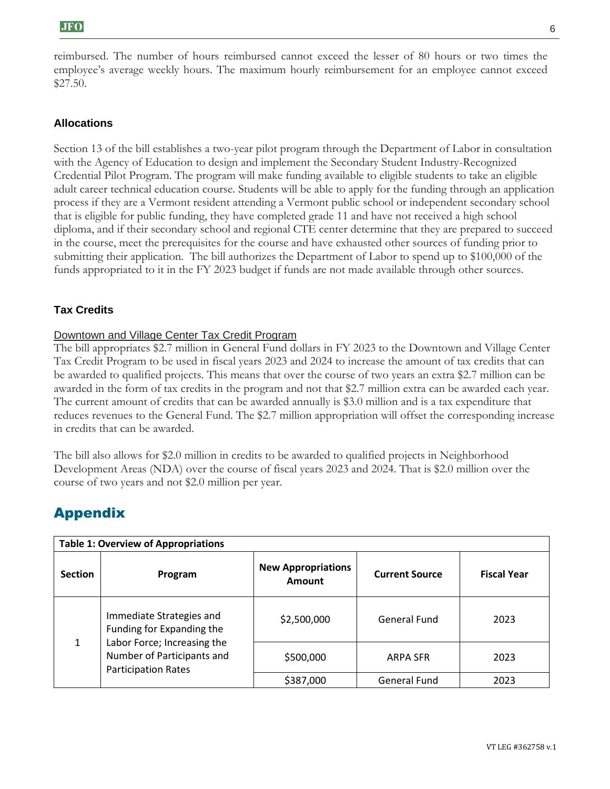reimbursed. The number of hours reimbursed cannot exceed the lesser of 80 hours or two times the employee's average weekly hours. The maximum hourly reimbursement for an employee cannot exceed \$27.50.

#### **Allocations**

Section 13 of the bill establishes a two-year pilot program through the Department of Labor in consultation with the Agency of Education to design and implement the Secondary Student Industry-Recognized Credential Pilot Program. The program will make funding available to eligible students to take an eligible adult career technical education course. Students will be able to apply for the funding through an application process if they are a Vermont resident attending a Vermont public school or independent secondary school that is eligible for public funding, they have completed grade 11 and have not received a high school diploma, and if their secondary school and regional CTE center determine that they are prepared to succeed in the course, meet the prerequisites for the course and have exhausted other sources of funding prior to submitting their application. The bill authorizes the Department of Labor to spend up to \$100,000 of the funds appropriated to it in the FY 2023 budget if funds are not made available through other sources.

#### **Tax Credits**

#### Downtown and Village Center Tax Credit Program

The bill appropriates \$2.7 million in General Fund dollars in FY 2023 to the Downtown and Village Center Tax Credit Program to be used in fiscal years 2023 and 2024 to increase the amount of tax credits that can be awarded to qualified projects. This means that over the course of two years an extra \$2.7 million can be awarded in the form of tax credits in the program and not that \$2.7 million extra can be awarded each year. The current amount of credits that can be awarded annually is \$3.0 million and is a tax expenditure that reduces revenues to the General Fund. The \$2.7 million appropriation will offset the corresponding increase in credits that can be awarded.

The bill also allows for \$2.0 million in credits to be awarded to qualified projects in Neighborhood Development Areas (NDA) over the course of fiscal years 2023 and 2024. That is \$2.0 million over the course of two years and not \$2.0 million per year.

## Appendix

| <b>Table 1: Overview of Appropriations</b> |                                                                                                                                                  |                                     |                       |                    |  |
|--------------------------------------------|--------------------------------------------------------------------------------------------------------------------------------------------------|-------------------------------------|-----------------------|--------------------|--|
| <b>Section</b>                             | Program                                                                                                                                          | <b>New Appropriations</b><br>Amount | <b>Current Source</b> | <b>Fiscal Year</b> |  |
| 1                                          | Immediate Strategies and<br>Funding for Expanding the<br>Labor Force; Increasing the<br>Number of Participants and<br><b>Participation Rates</b> | \$2,500,000                         | General Fund          | 2023               |  |
|                                            |                                                                                                                                                  | \$500,000                           | <b>ARPA SFR</b>       | 2023               |  |
|                                            |                                                                                                                                                  | \$387,000                           | <b>General Fund</b>   | 2023               |  |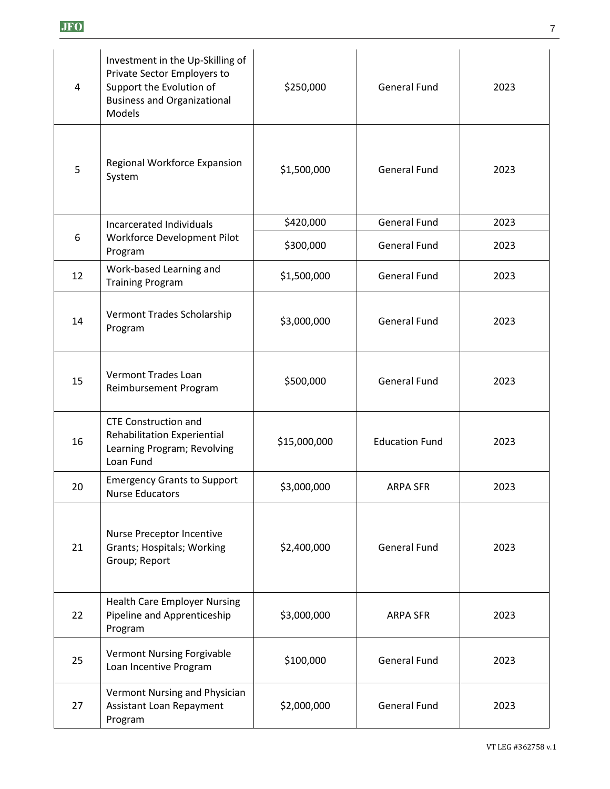|--|--|

| 4  | Investment in the Up-Skilling of<br>Private Sector Employers to<br>Support the Evolution of<br><b>Business and Organizational</b><br>Models | \$250,000    | <b>General Fund</b>   | 2023 |
|----|---------------------------------------------------------------------------------------------------------------------------------------------|--------------|-----------------------|------|
| 5  | Regional Workforce Expansion<br>System                                                                                                      | \$1,500,000  | <b>General Fund</b>   | 2023 |
|    | Incarcerated Individuals                                                                                                                    | \$420,000    | <b>General Fund</b>   | 2023 |
| 6  | Workforce Development Pilot<br>Program                                                                                                      | \$300,000    | <b>General Fund</b>   | 2023 |
| 12 | Work-based Learning and<br><b>Training Program</b>                                                                                          | \$1,500,000  | <b>General Fund</b>   | 2023 |
| 14 | Vermont Trades Scholarship<br>Program                                                                                                       | \$3,000,000  | <b>General Fund</b>   | 2023 |
| 15 | Vermont Trades Loan<br>Reimbursement Program                                                                                                | \$500,000    | <b>General Fund</b>   | 2023 |
| 16 | <b>CTE Construction and</b><br>Rehabilitation Experiential<br>Learning Program; Revolving<br>Loan Fund                                      | \$15,000,000 | <b>Education Fund</b> | 2023 |
| 20 | <b>Emergency Grants to Support</b><br><b>Nurse Educators</b>                                                                                | \$3,000,000  | ARPA SFR              | 2023 |
| 21 | Nurse Preceptor Incentive<br>Grants; Hospitals; Working<br>Group; Report                                                                    | \$2,400,000  | <b>General Fund</b>   | 2023 |
| 22 | <b>Health Care Employer Nursing</b><br>Pipeline and Apprenticeship<br>Program                                                               | \$3,000,000  | <b>ARPA SFR</b>       | 2023 |
| 25 | <b>Vermont Nursing Forgivable</b><br>Loan Incentive Program                                                                                 | \$100,000    | <b>General Fund</b>   | 2023 |
| 27 | Vermont Nursing and Physician<br><b>Assistant Loan Repayment</b><br>Program                                                                 | \$2,000,000  | <b>General Fund</b>   | 2023 |